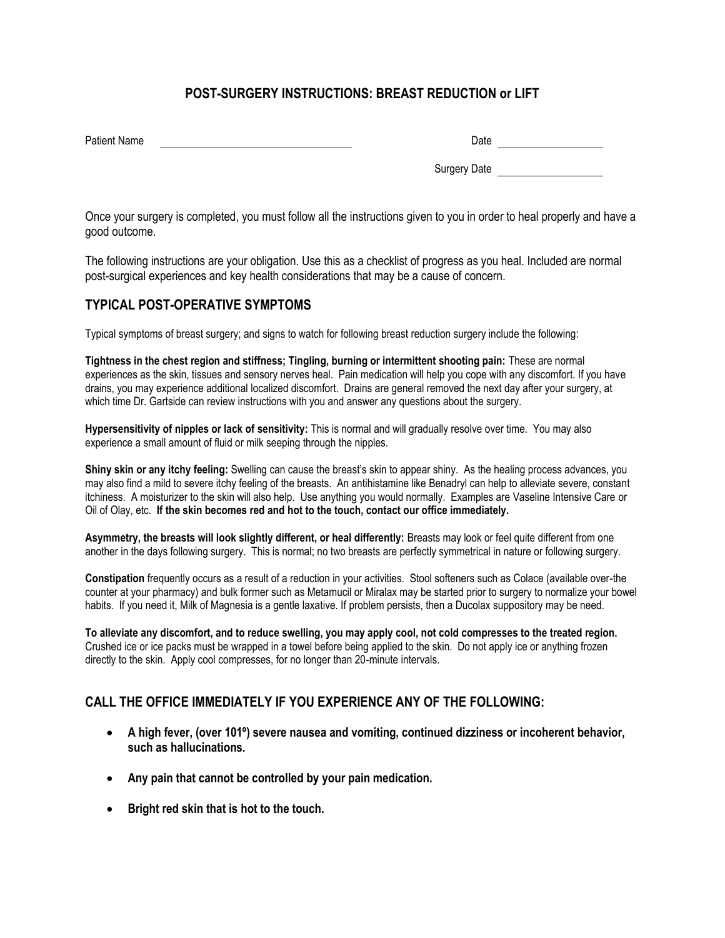# **POST-SURGERY INSTRUCTIONS: BREAST REDUCTION or LIFT**

| <b>Patient Name</b> | Date |
|---------------------|------|
|                     |      |

Surgery Date

Once your surgery is completed, you must follow all the instructions given to you in order to heal properly and have a good outcome.

The following instructions are your obligation. Use this as a checklist of progress as you heal. Included are normal post-surgical experiences and key health considerations that may be a cause of concern.

## **TYPICAL POST-OPERATIVE SYMPTOMS**

Typical symptoms of breast surgery; and signs to watch for following breast reduction surgery include the following:

**Tightness in the chest region and stiffness; Tingling, burning or intermittent shooting pain:** These are normal experiences as the skin, tissues and sensory nerves heal. Pain medication will help you cope with any discomfort. If you have drains, you may experience additional localized discomfort. Drains are general removed the next day after your surgery, at which time Dr. Gartside can review instructions with you and answer any questions about the surgery.

**Hypersensitivity of nipples or lack of sensitivity:** This is normal and will gradually resolve over time. You may also experience a small amount of fluid or milk seeping through the nipples.

**Shiny skin or any itchy feeling:** Swelling can cause the breast's skin to appear shiny. As the healing process advances, you may also find a mild to severe itchy feeling of the breasts. An antihistamine like Benadryl can help to alleviate severe, constant itchiness. A moisturizer to the skin will also help. Use anything you would normally. Examples are Vaseline Intensive Care or Oil of Olay, etc. **If the skin becomes red and hot to the touch, contact our office immediately.**

**Asymmetry, the breasts will look slightly different, or heal differently:** Breasts may look or feel quite different from one another in the days following surgery. This is normal; no two breasts are perfectly symmetrical in nature or following surgery.

**Constipation** frequently occurs as a result of a reduction in your activities. Stool softeners such as Colace (available over-the counter at your pharmacy) and bulk former such as Metamucil or Miralax may be started prior to surgery to normalize your bowel habits. If you need it, Milk of Magnesia is a gentle laxative. If problem persists, then a Ducolax suppository may be need.

**To alleviate any discomfort, and to reduce swelling, you may apply cool, not cold compresses to the treated region.**  Crushed ice or ice packs must be wrapped in a towel before being applied to the skin. Do not apply ice or anything frozen directly to the skin. Apply cool compresses, for no longer than 20-minute intervals.

## **CALL THE OFFICE IMMEDIATELY IF YOU EXPERIENCE ANY OF THE FOLLOWING:**

- **A high fever, (over 101º) severe nausea and vomiting, continued dizziness or incoherent behavior, such as hallucinations.**
- **Any pain that cannot be controlled by your pain medication.**
- **Bright red skin that is hot to the touch.**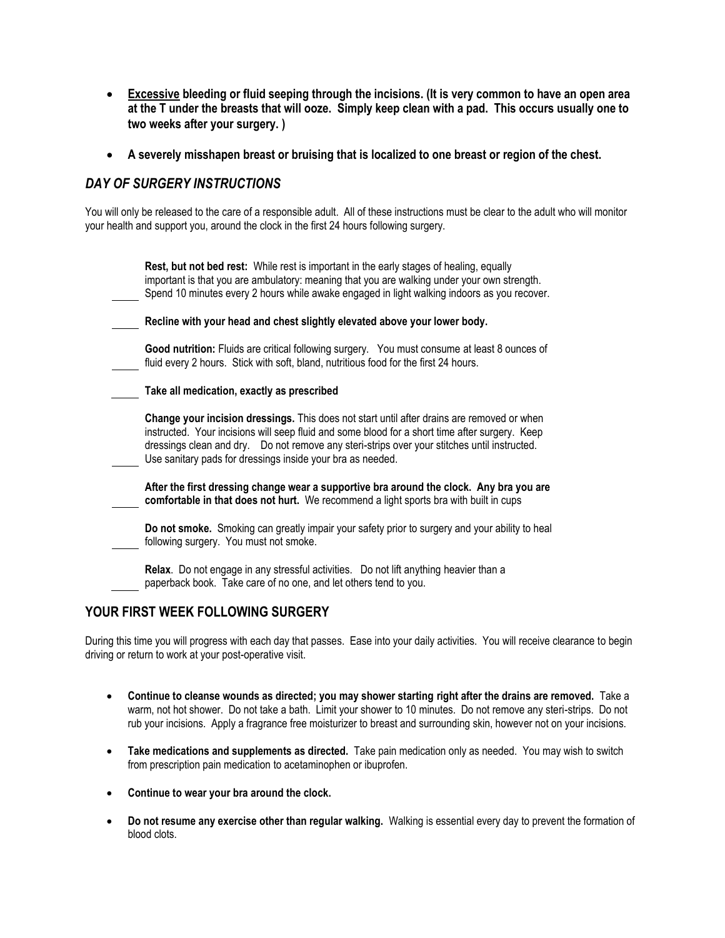- **Excessive bleeding or fluid seeping through the incisions. (It is very common to have an open area at the T under the breasts that will ooze. Simply keep clean with a pad. This occurs usually one to two weeks after your surgery. )**
- **A severely misshapen breast or bruising that is localized to one breast or region of the chest.**

### *DAY OF SURGERY INSTRUCTIONS*

You will only be released to the care of a responsible adult. All of these instructions must be clear to the adult who will monitor your health and support you, around the clock in the first 24 hours following surgery.

| Rest, but not bed rest: While rest is important in the early stages of healing, equally<br>important is that you are ambulatory: meaning that you are walking under your own strength.<br>Spend 10 minutes every 2 hours while awake engaged in light walking indoors as you recover.                                                                       |  |
|-------------------------------------------------------------------------------------------------------------------------------------------------------------------------------------------------------------------------------------------------------------------------------------------------------------------------------------------------------------|--|
| Recline with your head and chest slightly elevated above your lower body.                                                                                                                                                                                                                                                                                   |  |
| Good nutrition: Fluids are critical following surgery. You must consume at least 8 ounces of<br>fluid every 2 hours. Stick with soft, bland, nutritious food for the first 24 hours.                                                                                                                                                                        |  |
| Take all medication, exactly as prescribed                                                                                                                                                                                                                                                                                                                  |  |
| Change your incision dressings. This does not start until after drains are removed or when<br>instructed. Your incisions will seep fluid and some blood for a short time after surgery. Keep<br>dressings clean and dry.  Do not remove any steri-strips over your stitches until instructed.<br>Use sanitary pads for dressings inside your bra as needed. |  |
| After the first dressing change wear a supportive bra around the clock. Any bra you are<br>comfortable in that does not hurt. We recommend a light sports bra with built in cups                                                                                                                                                                            |  |
| Do not smoke. Smoking can greatly impair your safety prior to surgery and your ability to heal<br>following surgery. You must not smoke.                                                                                                                                                                                                                    |  |
| Relax. Do not engage in any stressful activities. Do not lift anything heavier than a<br>paperback book. Take care of no one, and let others tend to you.                                                                                                                                                                                                   |  |

### **YOUR FIRST WEEK FOLLOWING SURGERY**

During this time you will progress with each day that passes. Ease into your daily activities. You will receive clearance to begin driving or return to work at your post-operative visit.

- **Continue to cleanse wounds as directed; you may shower starting right after the drains are removed.** Take a warm, not hot shower. Do not take a bath. Limit your shower to 10 minutes. Do not remove any steri-strips. Do not rub your incisions. Apply a fragrance free moisturizer to breast and surrounding skin, however not on your incisions.
- **Take medications and supplements as directed.** Take pain medication only as needed. You may wish to switch from prescription pain medication to acetaminophen or ibuprofen.
- **Continue to wear your bra around the clock.**
- **Do not resume any exercise other than regular walking.** Walking is essential every day to prevent the formation of blood clots.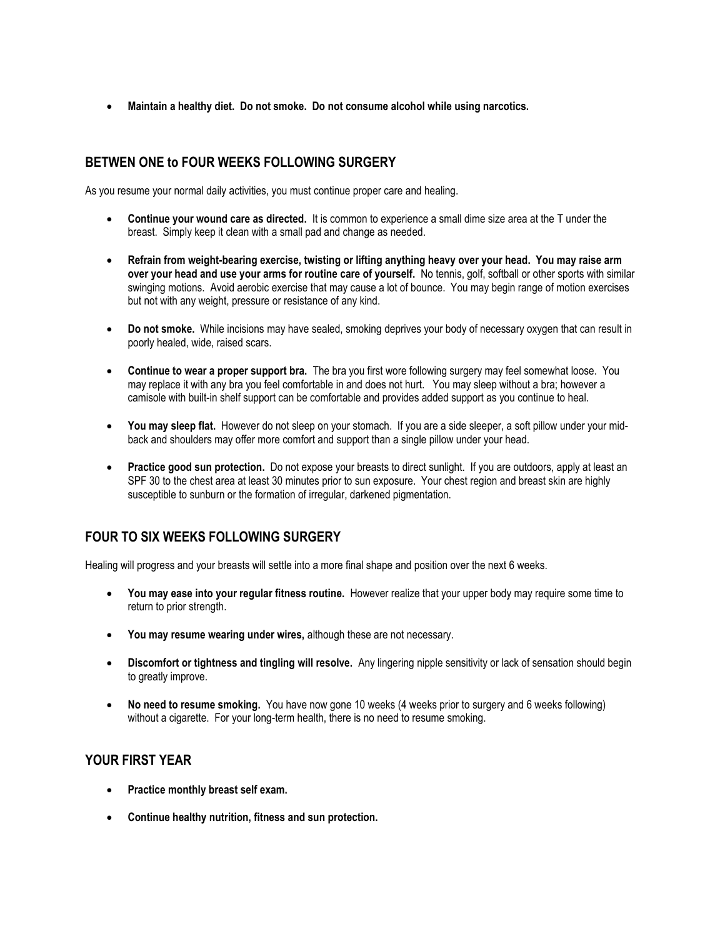**Maintain a healthy diet. Do not smoke. Do not consume alcohol while using narcotics.**

# **BETWEN ONE to FOUR WEEKS FOLLOWING SURGERY**

As you resume your normal daily activities, you must continue proper care and healing.

- **Continue your wound care as directed.** It is common to experience a small dime size area at the T under the breast. Simply keep it clean with a small pad and change as needed.
- **Refrain from weight-bearing exercise, twisting or lifting anything heavy over your head. You may raise arm over your head and use your arms for routine care of yourself.** No tennis, golf, softball or other sports with similar swinging motions. Avoid aerobic exercise that may cause a lot of bounce. You may begin range of motion exercises but not with any weight, pressure or resistance of any kind.
- **Do not smoke.** While incisions may have sealed, smoking deprives your body of necessary oxygen that can result in poorly healed, wide, raised scars.
- **Continue to wear a proper support bra.** The bra you first wore following surgery may feel somewhat loose. You may replace it with any bra you feel comfortable in and does not hurt. You may sleep without a bra; however a camisole with built-in shelf support can be comfortable and provides added support as you continue to heal.
- **You may sleep flat.** However do not sleep on your stomach. If you are a side sleeper, a soft pillow under your midback and shoulders may offer more comfort and support than a single pillow under your head.
- **Practice good sun protection.** Do not expose your breasts to direct sunlight. If you are outdoors, apply at least an SPF 30 to the chest area at least 30 minutes prior to sun exposure. Your chest region and breast skin are highly susceptible to sunburn or the formation of irregular, darkened pigmentation.

## **FOUR TO SIX WEEKS FOLLOWING SURGERY**

Healing will progress and your breasts will settle into a more final shape and position over the next 6 weeks.

- **You may ease into your regular fitness routine.** However realize that your upper body may require some time to return to prior strength.
- **You may resume wearing under wires,** although these are not necessary.
- **Discomfort or tightness and tingling will resolve.** Any lingering nipple sensitivity or lack of sensation should begin to greatly improve.
- **No need to resume smoking.** You have now gone 10 weeks (4 weeks prior to surgery and 6 weeks following) without a cigarette. For your long-term health, there is no need to resume smoking.

### **YOUR FIRST YEAR**

- **Practice monthly breast self exam.**
- **Continue healthy nutrition, fitness and sun protection.**